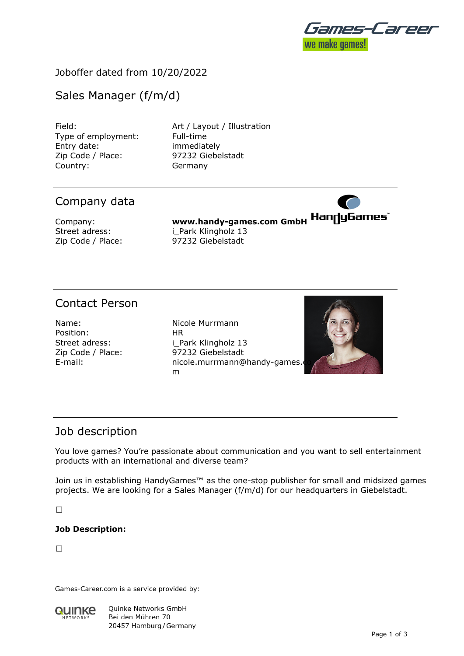

# Joboffer dated from 10/20/2022

# Sales Manager (f/m/d)

Type of employment: Full-time Entry date: immediately Zip Code / Place: 97232 Giebelstadt Country: Germany

Field: **Art / Layout / Illustration** 

# Company data

Company: **www.handy-games.com GmbH** Street adress: i Park Klingholz 13 Zip Code / Place: 97232 Giebelstadt

# Contact Person

Position: HR

Name: Name: Nicole Murrmann Street adress: i\_Park Klingholz 13 Zip Code / Place: 97232 Giebelstadt E-mail: nicole.murrmann@handy-games. m



# Job description

You love games? You're passionate about communication and you want to sell entertainment products with an international and diverse team?

Join us in establishing HandyGames™ as the one-stop publisher for small and midsized games projects. We are looking for a Sales Manager (f/m/d) for our headquarters in Giebelstadt.

 $\Box$ 

### **Job Description:**

 $\Box$ 

Games-Career.com is a service provided by:



Quinke Networks GmbH Bei den Mühren 70 20457 Hamburg / Germany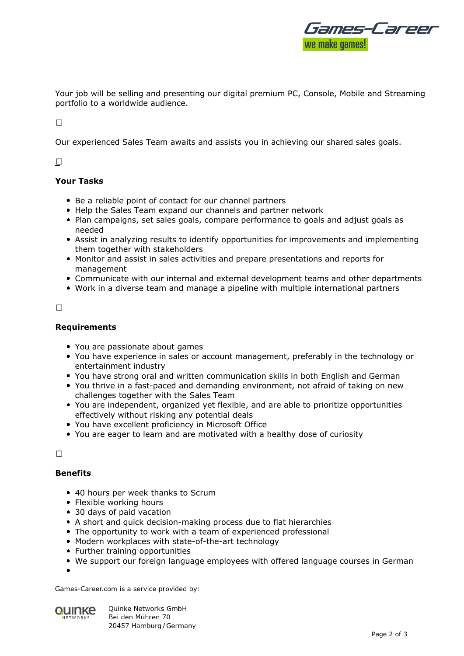

Your job will be selling and presenting our digital premium PC, Console, Mobile and Streaming portfolio to a worldwide audience.

 $\Box$ 

Our experienced Sales Team awaits and assists you in achieving our shared sales goals.

### 

### **Your Tasks**

- Be a reliable point of contact for our channel partners
- Help the Sales Team expand our channels and partner network
- Plan campaigns, set sales goals, compare performance to goals and adjust goals as needed
- Assist in analyzing results to identify opportunities for improvements and implementing them together with stakeholders
- Monitor and assist in sales activities and prepare presentations and reports for management
- Communicate with our internal and external development teams and other departments
- Work in a diverse team and manage a pipeline with multiple international partners

 $\Box$ 

#### **Requirements**

- You are passionate about games
- You have experience in sales or account management, preferably in the technology or entertainment industry
- You have strong oral and written communication skills in both English and German
- You thrive in a fast-paced and demanding environment, not afraid of taking on new challenges together with the Sales Team
- You are independent, organized yet flexible, and are able to prioritize opportunities effectively without risking any potential deals
- You have excellent proficiency in Microsoft Office
- You are eager to learn and are motivated with a healthy dose of curiosity

 $\Box$ 

#### **Benefits**

- 40 hours per week thanks to Scrum
- Flexible working hours
- 30 days of paid vacation
- A short and quick decision-making process due to flat hierarchies
- The opportunity to work with a team of experienced professional
- Modern workplaces with state-of-the-art technology
- Further training opportunities
- We support our foreign language employees with offered language courses in German
- 

Games-Career.com is a service provided by:



**Ouinke Networks GmbH** Bei den Mühren 70 20457 Hamburg / Germany